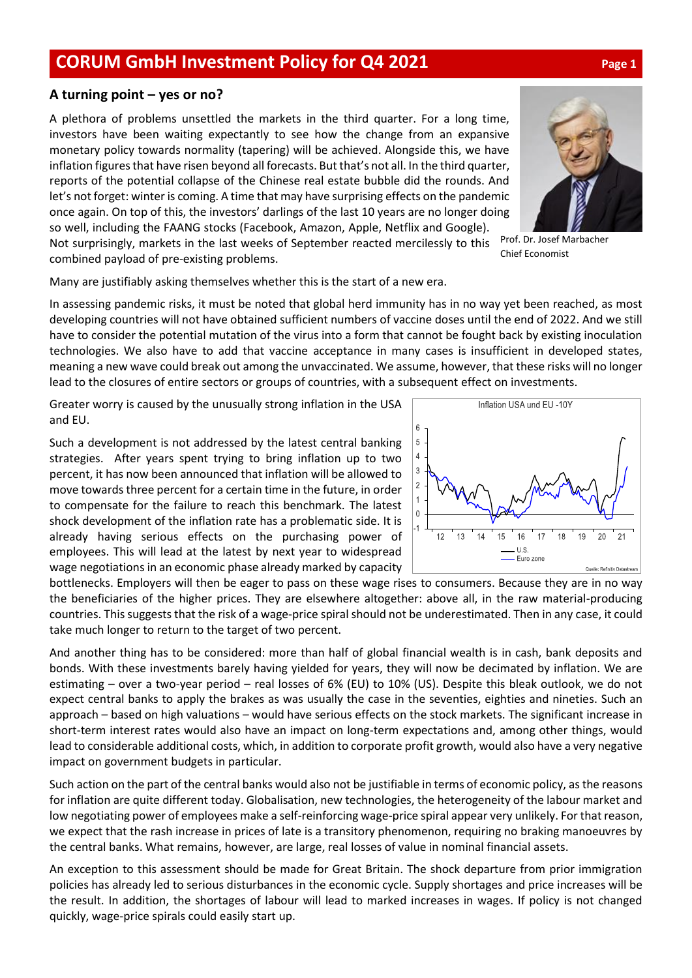## **CORUM GmbH Investment Policy for Q4 2021 Page <sup>1</sup>**

## **A turning point – yes or no?**

A plethora of problems unsettled the markets in the third quarter. For a long time, investors have been waiting expectantly to see how the change from an expansive monetary policy towards normality (tapering) will be achieved. Alongside this, we have inflation figures that have risen beyond all forecasts. But that's not all. In the third quarter, reports of the potential collapse of the Chinese real estate bubble did the rounds. And let's not forget: winter is coming. A time that may have surprising effects on the pandemic once again. On top of this, the investors' darlings of the last 10 years are no longer doing so well, including the FAANG stocks (Facebook, Amazon, Apple, Netflix and Google).

Not surprisingly, markets in the last weeks of September reacted mercilessly to this combined payload of pre-existing problems.

Many are justifiably asking themselves whether this is the start of a new era.

In assessing pandemic risks, it must be noted that global herd immunity has in no way yet been reached, as most developing countries will not have obtained sufficient numbers of vaccine doses until the end of 2022. And we still have to consider the potential mutation of the virus into a form that cannot be fought back by existing inoculation technologies. We also have to add that vaccine acceptance in many cases is insufficient in developed states, meaning a new wave could break out among the unvaccinated. We assume, however, that these risks will no longer lead to the closures of entire sectors or groups of countries, with a subsequent effect on investments.

Greater worry is caused by the unusually strong inflation in the USA and EU.

Such a development is not addressed by the latest central banking strategies. After years spent trying to bring inflation up to two percent, it has now been announced that inflation will be allowed to move towards three percent for a certain time in the future, in order to compensate for the failure to reach this benchmark. The latest shock development of the inflation rate has a problematic side. It is already having serious effects on the purchasing power of employees. This will lead at the latest by next year to widespread wage negotiations in an economic phase already marked by capacity

bottlenecks. Employers will then be eager to pass on these wage rises to consumers. Because they are in no way the beneficiaries of the higher prices. They are elsewhere altogether: above all, in the raw material-producing countries. This suggests that the risk of a wage-price spiral should not be underestimated. Then in any case, it could take much longer to return to the target of two percent.

And another thing has to be considered: more than half of global financial wealth is in cash, bank deposits and bonds. With these investments barely having yielded for years, they will now be decimated by inflation. We are estimating – over a two-year period – real losses of 6% (EU) to 10% (US). Despite this bleak outlook, we do not expect central banks to apply the brakes as was usually the case in the seventies, eighties and nineties. Such an approach – based on high valuations – would have serious effects on the stock markets. The significant increase in short-term interest rates would also have an impact on long-term expectations and, among other things, would lead to considerable additional costs, which, in addition to corporate profit growth, would also have a very negative impact on government budgets in particular.

Such action on the part of the central banks would also not be justifiable in terms of economic policy, as the reasons for inflation are quite different today. Globalisation, new technologies, the heterogeneity of the labour market and low negotiating power of employees make a self-reinforcing wage-price spiral appear very unlikely. For that reason, we expect that the rash increase in prices of late is a transitory phenomenon, requiring no braking manoeuvres by the central banks. What remains, however, are large, real losses of value in nominal financial assets.

An exception to this assessment should be made for Great Britain. The shock departure from prior immigration policies has already led to serious disturbances in the economic cycle. Supply shortages and price increases will be the result. In addition, the shortages of labour will lead to marked increases in wages. If policy is not changed quickly, wage-price spirals could easily start up.

Inflation USA und EU -10Y  $6\overline{6}$  $\overline{5}$  $\overline{4}$  $\overline{3}$  $\mathfrak{D}$  $\Omega$ 13  $14$  $17$  $12$ 16 18  $19$  $20$  $21$ 15  $U.S$ Euro zone



Prof. Dr. Josef Marbacher Chief Economist